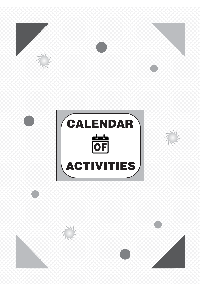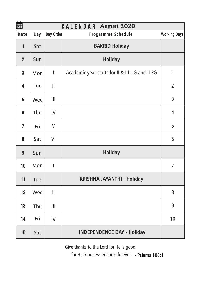| 箘              | CALENDAR August 2020 |               |                                                |                     |  |  |  |
|----------------|----------------------|---------------|------------------------------------------------|---------------------|--|--|--|
| Date           | Day                  | Day Order     | Programme Schedule                             | <b>Working Days</b> |  |  |  |
| $\mathbf{1}$   | Sat                  |               | <b>BAKRID Holiday</b>                          |                     |  |  |  |
| $\overline{2}$ | Sun                  |               | <b>Holiday</b>                                 |                     |  |  |  |
| 3              | Mon                  | I             | Academic year starts for II & III UG and II PG | 1                   |  |  |  |
| 4              | Tue                  | Ш             |                                                | $\overline{2}$      |  |  |  |
| 5              | Wed                  | Ш             |                                                | 3                   |  |  |  |
| 6              | Thu                  | IV            |                                                | 4                   |  |  |  |
| 7              | Fri                  | V             |                                                | 5                   |  |  |  |
| 8              | Sat                  | VI            |                                                | 6                   |  |  |  |
| 9              | Sun                  |               | <b>Holiday</b>                                 |                     |  |  |  |
| 10             | Mon                  | I             |                                                | 7                   |  |  |  |
| 11             | Tue                  |               | KRISHNA JAYANTHI - Holiday                     |                     |  |  |  |
| 12             | Wed                  | $\mathsf{II}$ |                                                | 8                   |  |  |  |
| 13             | Thu                  | Ш             |                                                | 9                   |  |  |  |
| 14             | Fri                  | IV            |                                                | 10                  |  |  |  |
| 15             | Sat                  |               | <b>INDEPENDENCE DAY - Holiday</b>              |                     |  |  |  |

Give thanks to the Lord for He is good,

for His kindness endures forever. **- Pslams 106:1**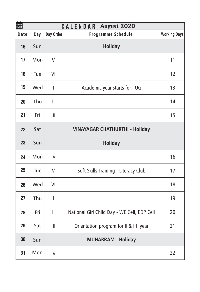| 的    | CALENDAR August 2020 |                |                                             |                     |  |  |  |
|------|----------------------|----------------|---------------------------------------------|---------------------|--|--|--|
| Date | Day                  | Day Order      | Programme Schedule                          | <b>Working Days</b> |  |  |  |
| 16   | Sun                  |                | <b>Holiday</b>                              |                     |  |  |  |
| 17   | Mon                  | V              |                                             | 11                  |  |  |  |
| 18   | Tue                  | VI             |                                             | 12                  |  |  |  |
| 19   | Wed                  | $\overline{1}$ | Academic year starts for I UG               | 13                  |  |  |  |
| 20   | Thu                  | Ш              |                                             | 14                  |  |  |  |
| 21   | Fri                  | Ш              |                                             | 15                  |  |  |  |
| 22   | Sat                  |                | <b>VINAYAGAR CHATHURTHI - Holiday</b>       |                     |  |  |  |
| 23   | Sun                  |                | <b>Holiday</b>                              |                     |  |  |  |
| 24   | Mon                  | IV             |                                             | 16                  |  |  |  |
| 25   | Tue                  | V              | Soft Skills Training - Literacy Club        | 17                  |  |  |  |
| 26   | Wed                  | VI             |                                             | 18                  |  |  |  |
| 27   | Thu                  | I              |                                             | 19                  |  |  |  |
| 28   | Fri                  | $\mathbf{I}$   | National Girl Child Day - WE Cell, EDP Cell | 20                  |  |  |  |
| 29   | Sat                  | Ш              | Orientation program for II & III year       | 21                  |  |  |  |
| 30   | Sun                  |                | <b>MUHARRAM - Holiday</b>                   |                     |  |  |  |
| 31   | Mon                  | IV             |                                             | 22                  |  |  |  |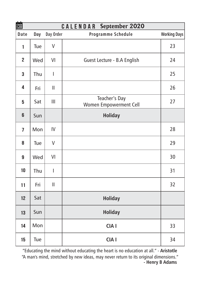| 箘              |     |                | <b>CALENDAR</b> September 2020          |                     |
|----------------|-----|----------------|-----------------------------------------|---------------------|
| Date           | Day | Day Order      | Programme Schedule                      | <b>Working Days</b> |
| 1              | Tue | $\vee$         |                                         | 23                  |
| $\overline{2}$ | Wed | VI             | Guest Lecture - B.A English             | 24                  |
| 3              | Thu | I              |                                         | 25                  |
| 4              | Fri | Ш              |                                         | 26                  |
| 5              | Sat | $\mathbf{III}$ | Teacher's Day<br>Women Empowerment Cell | 27                  |
| 6              | Sun |                | <b>Holiday</b>                          |                     |
| $\overline{1}$ | Mon | IV             |                                         | 28                  |
| 8              | Tue | $\vee$         |                                         | 29                  |
| 9              | Wed | VI             |                                         | 30                  |
| 10             | Thu | I              |                                         | 31                  |
| 11             | Fri | $\mathsf{II}$  |                                         | 32                  |
| 12             | Sat |                | <b>Holiday</b>                          |                     |
| 13             | Sun |                | <b>Holiday</b>                          |                     |
| 14             | Mon |                | CIA <sub>I</sub>                        | 33                  |
| 15             | Tue |                | CIA <sub>I</sub>                        | 34                  |

"Educating the mind without educating the heart is no education at all." - **Aristotle** "A man's mind, stretched by new ideas, may never return to its original dimensions." **- Henry B Adams**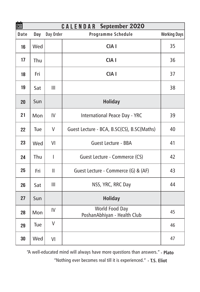| 箘<br><b>CALENDAR</b> September 2020 |     |               |                                               |                     |  |
|-------------------------------------|-----|---------------|-----------------------------------------------|---------------------|--|
| Date                                | Day | Day Order     | Programme Schedule                            | <b>Working Days</b> |  |
| 16                                  | Wed |               | CIA <sub>I</sub>                              | 35                  |  |
| 17                                  | Thu |               | CIA <sub>I</sub>                              | 36                  |  |
| 18                                  | Fri |               | CIA I                                         | 37                  |  |
| 19                                  | Sat | Ш             |                                               | 38                  |  |
| 20                                  | Sun |               | <b>Holiday</b>                                |                     |  |
| 21                                  | Mon | IV            | International Peace Day - YRC                 | 39                  |  |
| 22                                  | Tue | V             | Guest Lecture - BCA, B.SC(CS), B.SC(Maths)    | 40                  |  |
| 23                                  | Wed | VI            | Guest Lecture - BBA                           | 41                  |  |
| 24                                  | Thu | I             | Guest Lecture - Commerce (CS)                 | 42                  |  |
| 25                                  | Fri | $\mathbf{  }$ | Guest Lecture - Commerce (G) & (AF)           | 43                  |  |
| 26                                  | Sat | Ш             | NSS, YRC, RRC Day                             | 44                  |  |
| 27                                  | Sun |               | <b>Holiday</b>                                |                     |  |
| 28                                  | Mon | IV            | World Food Day<br>PoshanAbhiyan - Health Club | 45                  |  |
| 29                                  | Tue | V             |                                               | 46                  |  |
| 30                                  | Wed | VI            |                                               | 47                  |  |

"A well-educated mind will always have more questions than answers." **- Plato**

"Nothing ever becomes real till it is experienced." **- T.S. Eliot**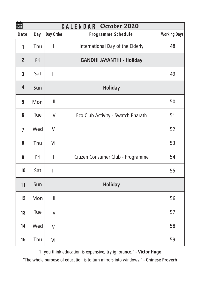| 盦              | <b>CALENDAR</b><br>October 2020 |                |                                    |                     |  |  |  |
|----------------|---------------------------------|----------------|------------------------------------|---------------------|--|--|--|
| Date           | Day                             | Day Order      | Programme Schedule                 | <b>Working Days</b> |  |  |  |
| 1              | Thu                             | $\overline{1}$ | International Day of the Elderly   | 48                  |  |  |  |
| $\overline{2}$ | Fri                             |                | <b>GANDHI JAYANTHI - Holiday</b>   |                     |  |  |  |
| 3              | Sat                             | $\mathbf{I}$   |                                    | 49                  |  |  |  |
| 4              | Sun                             |                | <b>Holiday</b>                     |                     |  |  |  |
| 5              | Mon                             | Ш              |                                    | 50                  |  |  |  |
| 6              | Tue                             | IV             | Eco Club Activity - Swatch Bharath | 51                  |  |  |  |
| 7              | Wed                             | $\vee$         |                                    | 52                  |  |  |  |
| 8              | Thu                             | VI             |                                    | 53                  |  |  |  |
| 9              | Fri                             | I              | Citizen Consumer Club - Programme  | 54                  |  |  |  |
| 10             | Sat                             | $\mathbf{I}$   |                                    | 55                  |  |  |  |
| 11             | Sun                             |                | <b>Holiday</b>                     |                     |  |  |  |
| 12             | Mon                             | Ш              |                                    | 56                  |  |  |  |
| 13             | Tue                             | IV             |                                    | 57                  |  |  |  |
| 14             | Wed                             | $\vee$         |                                    | 58                  |  |  |  |
| 15             | Thu                             | VI             |                                    | 59                  |  |  |  |

"If you think education is expensive, try ignorance." - **Victor Hugo** "The whole purpose of education is to turn mirrors into windows." - **Chinese Proverb**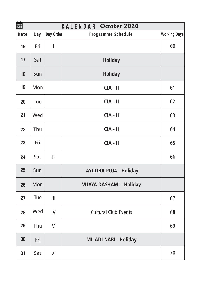| 箘    |     |                                       | CALENDAR October 2020           |                     |
|------|-----|---------------------------------------|---------------------------------|---------------------|
| Date | Day | Day Order                             | Programme Schedule              | <b>Working Days</b> |
| 16   | Fri | I                                     |                                 | 60                  |
| 17   | Sat |                                       | <b>Holiday</b>                  |                     |
| 18   | Sun |                                       | <b>Holiday</b>                  |                     |
| 19   | Mon |                                       | $CIA - II$                      | 61                  |
| 20   | Tue |                                       | $CIA - II$                      | 62                  |
| 21   | Wed |                                       | $CIA - II$                      | 63                  |
| 22   | Thu |                                       | $CIA - II$                      | 64                  |
| 23   | Fri |                                       | $CIA - II$                      | 65                  |
| 24   | Sat | $\begin{array}{c} \hline \end{array}$ |                                 | 66                  |
| 25   | Sun |                                       | <b>AYUDHA PUJA - Holiday</b>    |                     |
| 26   | Mon |                                       | <b>VIJAYA DASHAMI - Holiday</b> |                     |
| 27   | Tue | III                                   |                                 | 67                  |
| 28   | Wed | IV                                    | <b>Cultural Club Events</b>     | 68                  |
| 29   | Thu | $\vee$                                |                                 | 69                  |
| 30   | Fri |                                       | MILADI NABI - Holiday           |                     |
| 31   | Sat | VI                                    |                                 | 70                  |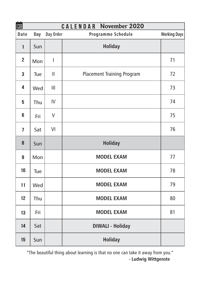| 盦              |     |              | <b>CALENDAR November 2020</b>     |                     |
|----------------|-----|--------------|-----------------------------------|---------------------|
| Date           | Day | Day Order    | Programme Schedule                | <b>Working Days</b> |
| 1              | Sun |              | <b>Holiday</b>                    |                     |
| $\overline{2}$ | Mon | T            |                                   | 71                  |
| 3              | Tue | $\mathbf{I}$ | <b>Placement Training Program</b> | 72                  |
| 4              | Wed | Ш            |                                   | 73                  |
| 5              | Thu | IV           |                                   | 74                  |
| 6              | Fri | V            |                                   | 75                  |
| 7              | Sat | VI           |                                   | 76                  |
| 8              | Sun |              | <b>Holiday</b>                    |                     |
| 9              | Mon |              | <b>MODEL EXAM</b>                 | 77                  |
| 10             | Tue |              | <b>MODEL EXAM</b>                 | 78                  |
| 11             | Wed |              | <b>MODEL EXAM</b>                 | 79                  |
| 12             | Thu |              | <b>MODEL EXAM</b>                 | 80                  |
| 13             | Fri |              | <b>MODEL EXAM</b>                 | 81                  |
| 14             | Sat |              | <b>DIWALI - Holiday</b>           |                     |
| 15             | Sun |              | <b>Holiday</b>                    |                     |

"The beautiful thing about learning is that no one can take it away from you." **- Ludwig Wittgenste**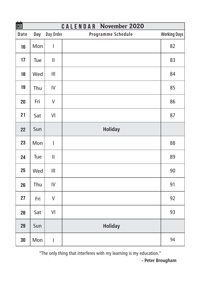| 簂    |     |                                       | <b>CALENDAR November 2020</b> |                     |
|------|-----|---------------------------------------|-------------------------------|---------------------|
| Date | Day | Day Order                             | Programme Schedule            | <b>Working Days</b> |
| 16   | Mon | I                                     |                               | 82                  |
| 17   | Tue | $\mathop{\rm II}\nolimits$            |                               | 83                  |
| 18   | Wed | $\mathop{\rm III}\nolimits$           |                               | 84                  |
| 19   | Thu | IV                                    |                               | 85                  |
| 20   | Fri | V                                     |                               | 86                  |
| 21   | Sat | VI                                    |                               | 87                  |
| 22   | Sun |                                       | <b>Holiday</b>                |                     |
| 23   | Mon | I                                     |                               | 88                  |
| 24   | Tue | $\mathop{\rm II}\nolimits$            |                               | 89                  |
| 25   | Wed | $\begin{array}{c} \hline \end{array}$ |                               | 90                  |
| 26   | Thu | IV                                    |                               | 91                  |
| 27   | Fri | $\vee$                                |                               | 92                  |
| 28   | Sat | VI                                    |                               | 93                  |
| 29   | Sun |                                       | <b>Holiday</b>                |                     |
| 30   | Mon | I                                     |                               | 94                  |

"The only thing that interferes with my learning is my education."

**- Peter Brougham**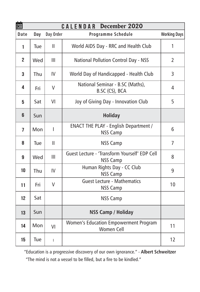| 齏              |     |              | <b>CALENDAR December 2020</b>                                     |                     |
|----------------|-----|--------------|-------------------------------------------------------------------|---------------------|
| Date           | Day | Day Order    | Programme Schedule                                                | <b>Working Days</b> |
| 1              | Tue | $\mathbf{I}$ | World AIDS Day - RRC and Health Club                              | 1                   |
| $\overline{2}$ | Wed | Ш            | National Pollution Control Day - NSS                              | $\overline{2}$      |
| 3              | Thu | IV           | World Day of Handicapped - Health Club                            | 3                   |
| 4              | Fri | V            | National Seminar - B.SC (Maths),<br>B.SC (CS), BCA                | 4                   |
| 5              | Sat | VI           | Joy of Giving Day - Innovation Club                               | 5                   |
| 6              | Sun |              | <b>Holiday</b>                                                    |                     |
| $\overline{1}$ | Mon | T            | <b>ENACT THE PLAY - English Department /</b><br><b>NSS Camp</b>   | 6                   |
| 8              | Tue | Ш            | <b>NSS Camp</b>                                                   | 7                   |
| 9              | Wed | Ш            | Guest Lecture - 'Transform Yourself' EDP Cell<br><b>NSS Camp</b>  | 8                   |
| 10             | Thu | IV           | Human Rights Day - CC Club<br><b>NSS Camp</b>                     | 9                   |
| 11             | Fri | V            | <b>Guest Lecture - Mathematics</b><br><b>NSS Camp</b>             | 10                  |
| 12             | Sat |              | <b>NSS Camp</b>                                                   |                     |
| 13             | Sun |              | <b>NSS Camp / Holiday</b>                                         |                     |
| 14             | Mon | VI           | <b>Women's Education Empowerment Program</b><br><b>Women Cell</b> | 11                  |
| 15             | Tue | $\mathbf{I}$ |                                                                   | 12                  |

"Education is a progressive discovery of our own ignorance." - **Albert Schweitzer** "The mind is not a vessel to be filled, but a fire to be kindled."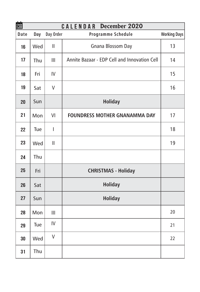| 齏    |     |                          | CALENDAR<br>December 2020                    |                     |
|------|-----|--------------------------|----------------------------------------------|---------------------|
| Date | Day | Day Order                | Programme Schedule                           | <b>Working Days</b> |
| 16   | Wed | $\mathsf{II}$            | Gnana Blossom Day                            | 13                  |
| 17   | Thu | Ш                        | Annite Bazaar - EDP Cell and Innovation Cell | 14                  |
| 18   | Fri | IV                       |                                              | 15                  |
| 19   | Sat | $\vee$                   |                                              | 16                  |
| 20   | Sun |                          | <b>Holiday</b>                               |                     |
| 21   | Mon | VI                       | <b>FOUNDRESS MOTHER GNANAMMA DAY</b>         | 17                  |
| 22   | Tue | $\overline{\phantom{a}}$ |                                              | 18                  |
| 23   | Wed | $\mathsf{II}$            |                                              | 19                  |
| 24   | Thu |                          |                                              |                     |
| 25   | Fri |                          | <b>CHRISTMAS - Holiday</b>                   |                     |
| 26   | Sat |                          | <b>Holiday</b>                               |                     |
| 27   | Sun |                          | <b>Holiday</b>                               |                     |
| 28   | Mon | Ш                        |                                              | 20                  |
| 29   | Tue | IV                       |                                              | 21                  |
| 30   | Wed | $\vee$                   |                                              | 22                  |
| 31   | Thu |                          |                                              |                     |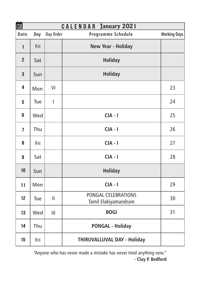| 箘              | <b>CALENDAR January 2021</b> |               |                                             |                     |  |  |  |
|----------------|------------------------------|---------------|---------------------------------------------|---------------------|--|--|--|
| Date           | Day                          | Day Order     | Programme Schedule                          | <b>Working Days</b> |  |  |  |
| $\mathbf{1}$   | Fri                          |               | New Year - Holiday                          |                     |  |  |  |
| $\overline{2}$ | Sat                          |               | <b>Holiday</b>                              |                     |  |  |  |
| 3              | Sun                          |               | <b>Holiday</b>                              |                     |  |  |  |
| 4              | Mon                          | VI            |                                             | 23                  |  |  |  |
| 5              | Tue                          | T             |                                             | 24                  |  |  |  |
| 6              | Wed                          |               | $CIA - I$                                   | 25                  |  |  |  |
| $\overline{1}$ | Thu                          |               | $CIA - I$                                   | 26                  |  |  |  |
| 8              | Fri                          |               | $CIA - I$                                   | 27                  |  |  |  |
| 9              | Sat                          |               | $CIA - I$                                   | 28                  |  |  |  |
| 10             | Sun                          |               | <b>Holiday</b>                              |                     |  |  |  |
| 11             | Mon                          |               | $CIA - I$                                   | 29                  |  |  |  |
| 12             | Tue                          | $\mathbf{  }$ | PONGAL CELEBRATIONS<br>Tamil Elakiyamandram | 30                  |  |  |  |
| 13             | Wed                          | Ш             | <b>BOGI</b>                                 | 31                  |  |  |  |
| 14             | Thu                          |               | <b>PONGAL - Holiday</b>                     |                     |  |  |  |
| 15             | Fri                          |               | THIRUVALLUVAL DAY - Holiday                 |                     |  |  |  |

"Anyone who has never made a mistake has never tried anything new."  **- Clay P. Bedford**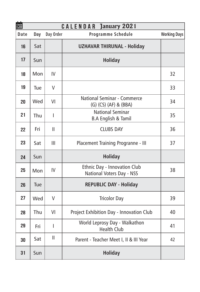| 盦    |     |               | <b>CALENDAR January 2021</b>                              |                     |
|------|-----|---------------|-----------------------------------------------------------|---------------------|
| Date | Day | Day Order     | Programme Schedule                                        | <b>Working Days</b> |
| 16   | Sat |               | <b>UZHAVAR THIRUNAL - Holiday</b>                         |                     |
| 17   | Sun |               | <b>Holiday</b>                                            |                     |
| 18   | Mon | IV            |                                                           | 32                  |
| 19   | Tue | V             |                                                           | 33                  |
| 20   | Wed | VI            | National Seminar - Commerce<br>(G) (CS) (AF) & (BBA)      | 34                  |
| 21   | Thu | T             | <b>National Seminar</b><br><b>B.A English &amp; Tamil</b> | 35                  |
| 22   | Fri | $\mathbf{II}$ | <b>CLUBS DAY</b>                                          | 36                  |
| 23   | Sat | Ш             | Placement Training Progranne - III                        | 37                  |
| 24   | Sun |               | <b>Holiday</b>                                            |                     |
| 25   | Mon | IV            | Ethnic Day - Innovation Club<br>National Voters Day - NSS | 38                  |
| 26   | Tue |               | <b>REPUBLIC DAY - Holiday</b>                             |                     |
| 27   | Wed | $\vee$        | <b>Tricolor Day</b>                                       | 39                  |
| 28   | Thu | VI            | Project Exhibition Day - Innovation Club                  | 40                  |
| 29   | Fri | I             | World Leprosy Day - Walkathon<br><b>Health Club</b>       | 41                  |
| 30   | Sat | $\mathsf{II}$ | Parent - Teacher Meet I, II & III Year                    | 42                  |
| 31   | Sun |               | <b>Holiday</b>                                            |                     |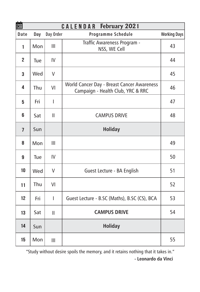| 盦<br><b>CALENDAR February 2021</b> |     |              |                                                                                 |                     |  |
|------------------------------------|-----|--------------|---------------------------------------------------------------------------------|---------------------|--|
| Date                               | Day | Day Order    | Programme Schedule                                                              | <b>Working Days</b> |  |
| 1                                  | Mon | Ш            | Traffic Awareness Program -<br>NSS, WE Cell                                     | 43                  |  |
| $\overline{2}$                     | Tue | IV           |                                                                                 | 44                  |  |
| 3                                  | Wed | V            |                                                                                 | 45                  |  |
| 4                                  | Thu | VI           | World Cancer Day - Breast Cancer Awareness<br>Campaign - Health Club, YRC & RRC | 46                  |  |
| 5                                  | Fri | T            |                                                                                 | 47                  |  |
| 6                                  | Sat | Ш            | <b>CAMPUS DRIVE</b>                                                             | 48                  |  |
| $\overline{1}$                     | Sun |              | <b>Holiday</b>                                                                  |                     |  |
| 8                                  | Mon | Ш            |                                                                                 | 49                  |  |
| 9                                  | Tue | IV           |                                                                                 | 50                  |  |
| 10                                 | Wed | V            | Guest Lecture - BA English                                                      | 51                  |  |
| 11                                 | Thu | VI           |                                                                                 | 52                  |  |
| 12                                 | Fri | T            | Guest Lecture - B.SC (Maths), B.SC (CS), BCA                                    | 53                  |  |
| 13                                 | Sat | $\mathbf{I}$ | <b>CAMPUS DRIVE</b>                                                             | 54                  |  |
| 14                                 | Sun |              | <b>Holiday</b>                                                                  |                     |  |
| 15                                 | Mon | Ш            |                                                                                 | 55                  |  |

"Study without desire spoils the memory, and it retains nothing that it takes in." **- Leonardo da Vinci**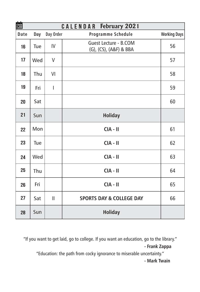| 箘    |     |              | <b>CALENDAR February 2021</b>                   |                     |
|------|-----|--------------|-------------------------------------------------|---------------------|
| Date | Day | Day Order    | Programme Schedule                              | <b>Working Days</b> |
| 16   | Tue | IV           | Guest Lecture - B.COM<br>(G), (CS), (A&F) & BBA | 56                  |
| 17   | Wed | V            |                                                 | 57                  |
| 18   | Thu | VI           |                                                 | 58                  |
| 19   | Fri | I            |                                                 | 59                  |
| 20   | Sat |              |                                                 | 60                  |
| 21   | Sun |              | <b>Holiday</b>                                  |                     |
| 22   | Mon |              | $CIA - II$                                      | 61                  |
| 23   | Tue |              | $CIA - II$                                      | 62                  |
| 24   | Wed |              | $CIA - II$                                      | 63                  |
| 25   | Thu |              | $CIA - II$                                      | 64                  |
| 26   | Fri |              | $CIA - II$                                      | 65                  |
| 27   | Sat | $\mathbf{I}$ | <b>SPORTS DAY &amp; COLLEGE DAY</b>             | 66                  |
| 28   | Sun |              | <b>Holiday</b>                                  |                     |

"If you want to get laid, go to college. If you want an education, go to the library." **- Frank Zappa**

"Education: the path from cocky ignorance to miserable uncertainty." **- Mark Twain**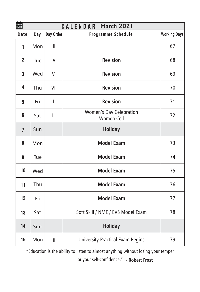| 箘              | <b>CALENDAR March 2021</b> |               |                                         |                     |  |  |
|----------------|----------------------------|---------------|-----------------------------------------|---------------------|--|--|
| Date           | Day                        | Day Order     | Programme Schedule                      | <b>Working Days</b> |  |  |
| 1              | Mon                        | Ш             |                                         | 67                  |  |  |
| $\overline{2}$ | Tue                        | IV            | <b>Revision</b>                         | 68                  |  |  |
| 3              | Wed                        | V             | <b>Revision</b>                         | 69                  |  |  |
| 4              | Thu                        | VI            | <b>Revision</b>                         | 70                  |  |  |
| 5              | Fri                        | T             | <b>Revision</b>                         | 71                  |  |  |
| 6              | Sat                        | $\mathbf{II}$ | Women's Day Celebration<br>Women Cell   | 72                  |  |  |
| $\overline{7}$ | Sun                        |               | <b>Holiday</b>                          |                     |  |  |
| 8              | Mon                        |               | <b>Model Exam</b>                       | 73                  |  |  |
| 9              | Tue                        |               | <b>Model Exam</b>                       | 74                  |  |  |
| 10             | Wed                        |               | <b>Model Exam</b>                       | 75                  |  |  |
| 11             | Thu                        |               | <b>Model Exam</b>                       | 76                  |  |  |
| 12             | Fri                        |               | <b>Model Exam</b>                       | 77                  |  |  |
| 13             | Sat                        |               | Soft Skill / NME / EVS Model Exam       | 78                  |  |  |
| 14             | Sun                        |               | <b>Holiday</b>                          |                     |  |  |
| 15             | Mon                        | Ш             | <b>University Practical Exam Begins</b> | 79                  |  |  |

"Education is the ability to listen to almost anything without losing your temper

or your self-confidence." **- Robert Frost**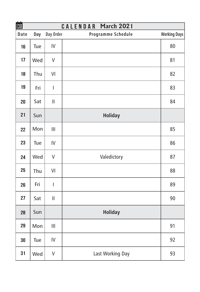| 箘    |     |                                       | <b>CALENDAR March 2021</b> |                     |
|------|-----|---------------------------------------|----------------------------|---------------------|
| Date | Day | Day Order                             | Programme Schedule         | <b>Working Days</b> |
| 16   | Tue | IV                                    |                            | 80                  |
| 17   | Wed | V                                     |                            | 81                  |
| 18   | Thu | VI                                    |                            | 82                  |
| 19   | Fri | I                                     |                            | 83                  |
| 20   | Sat | $\mathbf{I}$                          |                            | 84                  |
| 21   | Sun |                                       | <b>Holiday</b>             |                     |
| 22   | Mon | $\begin{array}{c} \hline \end{array}$ |                            | 85                  |
| 23   | Tue | IV                                    |                            | 86                  |
| 24   | Wed | V                                     | Valedictory                | 87                  |
| 25   | Thu | VI                                    |                            | 88                  |
| 26   | Fri | I                                     |                            | 89                  |
| 27   | Sat | $\mathop{  }$                         |                            | 90                  |
| 28   | Sun |                                       | <b>Holiday</b>             |                     |
| 29   | Mon | III                                   |                            | 91                  |
| 30   | Tue | IV                                    |                            | 92                  |
| 31   | Wed | $\vee$                                | Last Working Day           | 93                  |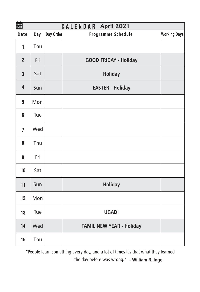|                | 齒<br>CALENDAR April 2021 |           |                                 |                     |  |  |
|----------------|--------------------------|-----------|---------------------------------|---------------------|--|--|
| Date           | Day                      | Day Order | Programme Schedule              | <b>Working Days</b> |  |  |
| $\mathbf{1}$   | Thu                      |           |                                 |                     |  |  |
| $\overline{2}$ | Fri                      |           | <b>GOOD FRIDAY - Holiday</b>    |                     |  |  |
| 3              | Sat                      |           | <b>Holiday</b>                  |                     |  |  |
| 4              | Sun                      |           | <b>EASTER - Holiday</b>         |                     |  |  |
| 5              | Mon                      |           |                                 |                     |  |  |
| 6              | Tue                      |           |                                 |                     |  |  |
| $\overline{1}$ | Wed                      |           |                                 |                     |  |  |
| 8              | Thu                      |           |                                 |                     |  |  |
| 9              | Fri                      |           |                                 |                     |  |  |
| 10             | Sat                      |           |                                 |                     |  |  |
| 11             | Sun                      |           | <b>Holiday</b>                  |                     |  |  |
| 12             | Mon                      |           |                                 |                     |  |  |
| 13             | Tue                      |           | <b>UGADI</b>                    |                     |  |  |
| 14             | Wed                      |           | <b>TAMIL NEW YEAR - Holiday</b> |                     |  |  |
| 15             | Thu                      |           |                                 |                     |  |  |

"People learn something every day, and a lot of times it's that what they learned the day before was wrong." **- William R. Inge**